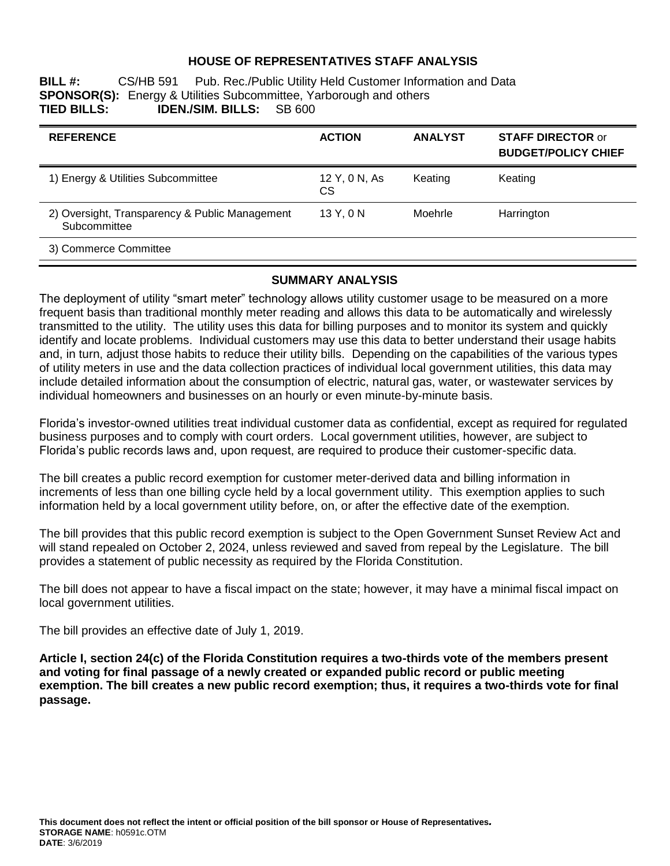## **HOUSE OF REPRESENTATIVES STAFF ANALYSIS**

**BILL #:** CS/HB 591 Pub. Rec./Public Utility Held Customer Information and Data **SPONSOR(S):** Energy & Utilities Subcommittee, Yarborough and others **TIED BILLS: IDEN./SIM. BILLS:** SB 600 **TDEN./SIM. BILLS:** 

| <b>REFERENCE</b>                                               | <b>ACTION</b>        | <b>ANALYST</b> | <b>STAFF DIRECTOR or</b><br><b>BUDGET/POLICY CHIEF</b> |
|----------------------------------------------------------------|----------------------|----------------|--------------------------------------------------------|
| 1) Energy & Utilities Subcommittee                             | 12 Y, 0 N, As<br>CS. | Keating        | Keating                                                |
| 2) Oversight, Transparency & Public Management<br>Subcommittee | 13 Y, 0 N            | Moehrle        | Harrington                                             |
| 3) Commerce Committee                                          |                      |                |                                                        |

## **SUMMARY ANALYSIS**

The deployment of utility "smart meter" technology allows utility customer usage to be measured on a more frequent basis than traditional monthly meter reading and allows this data to be automatically and wirelessly transmitted to the utility. The utility uses this data for billing purposes and to monitor its system and quickly identify and locate problems. Individual customers may use this data to better understand their usage habits and, in turn, adjust those habits to reduce their utility bills. Depending on the capabilities of the various types of utility meters in use and the data collection practices of individual local government utilities, this data may include detailed information about the consumption of electric, natural gas, water, or wastewater services by individual homeowners and businesses on an hourly or even minute-by-minute basis.

Florida's investor-owned utilities treat individual customer data as confidential, except as required for regulated business purposes and to comply with court orders. Local government utilities, however, are subject to Florida's public records laws and, upon request, are required to produce their customer-specific data.

The bill creates a public record exemption for customer meter-derived data and billing information in increments of less than one billing cycle held by a local government utility. This exemption applies to such information held by a local government utility before, on, or after the effective date of the exemption.

The bill provides that this public record exemption is subject to the Open Government Sunset Review Act and will stand repealed on October 2, 2024, unless reviewed and saved from repeal by the Legislature. The bill provides a statement of public necessity as required by the Florida Constitution.

The bill does not appear to have a fiscal impact on the state; however, it may have a minimal fiscal impact on local government utilities.

The bill provides an effective date of July 1, 2019.

**Article I, section 24(c) of the Florida Constitution requires a two-thirds vote of the members present and voting for final passage of a newly created or expanded public record or public meeting exemption. The bill creates a new public record exemption; thus, it requires a two-thirds vote for final passage.**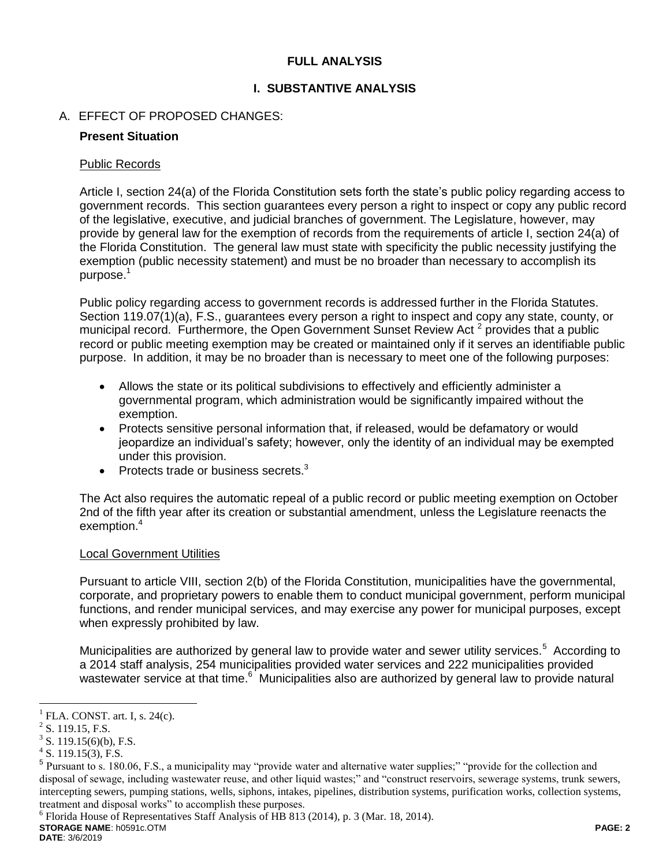# **FULL ANALYSIS**

# **I. SUBSTANTIVE ANALYSIS**

# A. EFFECT OF PROPOSED CHANGES:

## **Present Situation**

## Public Records

Article I, section 24(a) of the Florida Constitution sets forth the state's public policy regarding access to government records. This section guarantees every person a right to inspect or copy any public record of the legislative, executive, and judicial branches of government. The Legislature, however, may provide by general law for the exemption of records from the requirements of article I, section 24(a) of the Florida Constitution. The general law must state with specificity the public necessity justifying the exemption (public necessity statement) and must be no broader than necessary to accomplish its purpose.<sup>1</sup>

Public policy regarding access to government records is addressed further in the Florida Statutes. Section 119.07(1)(a), F.S., guarantees every person a right to inspect and copy any state, county, or municipal record. Furthermore, the Open Government Sunset Review Act<sup>2</sup> provides that a public record or public meeting exemption may be created or maintained only if it serves an identifiable public purpose. In addition, it may be no broader than is necessary to meet one of the following purposes:

- Allows the state or its political subdivisions to effectively and efficiently administer a governmental program, which administration would be significantly impaired without the exemption.
- Protects sensitive personal information that, if released, would be defamatory or would jeopardize an individual's safety; however, only the identity of an individual may be exempted under this provision.
- Protects trade or business secrets. $3$

The Act also requires the automatic repeal of a public record or public meeting exemption on October 2nd of the fifth year after its creation or substantial amendment, unless the Legislature reenacts the exemption.<sup>4</sup>

# Local Government Utilities

Pursuant to article VIII, section 2(b) of the Florida Constitution, municipalities have the governmental, corporate, and proprietary powers to enable them to conduct municipal government, perform municipal functions, and render municipal services, and may exercise any power for municipal purposes, except when expressly prohibited by law.

Municipalities are authorized by general law to provide water and sewer utility services.<sup>5</sup> According to a 2014 staff analysis, 254 municipalities provided water services and 222 municipalities provided wastewater service at that time.<sup>6</sup> Municipalities also are authorized by general law to provide natural

 $\overline{a}$ 

**STORAGE NAME**: h0591c.OTM **PAGE: 2** <sup>6</sup> Florida House of Representatives Staff Analysis of HB 813 (2014), p. 3 (Mar. 18, 2014).

**DATE**: 3/6/2019

<sup>1</sup> FLA. CONST. art. I, s. 24(c).

 $2$  S. 119.15, F.S.

 $3^3$  S. 119.15(6)(b), F.S.

 $4$  S. 119.15(3), F.S.

<sup>&</sup>lt;sup>5</sup> Pursuant to s. 180.06, F.S., a municipality may "provide water and alternative water supplies;" "provide for the collection and disposal of sewage, including wastewater reuse, and other liquid wastes;" and "construct reservoirs, sewerage systems, trunk sewers, intercepting sewers, pumping stations, wells, siphons, intakes, pipelines, distribution systems, purification works, collection systems, treatment and disposal works" to accomplish these purposes.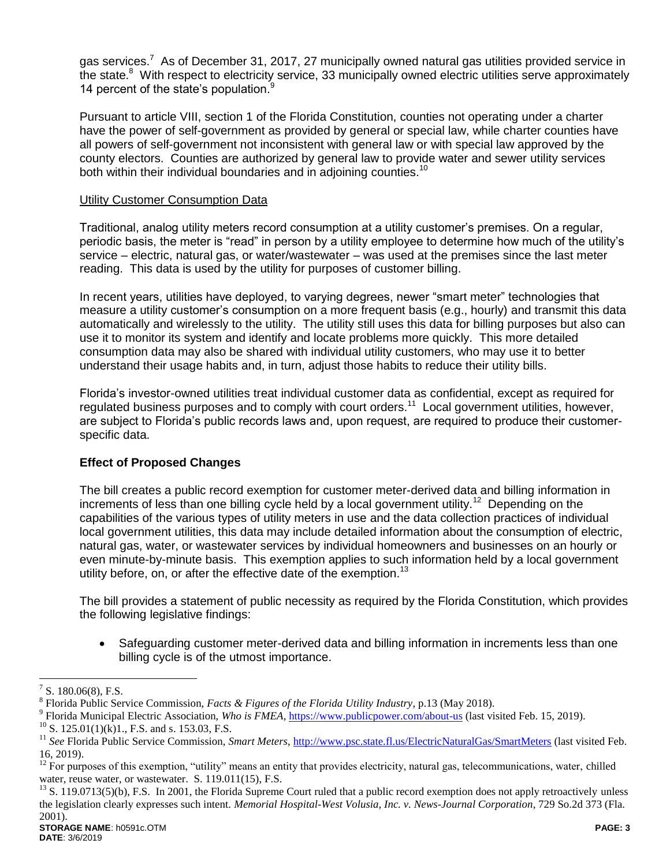gas services.<sup>7</sup> As of December 31, 2017, 27 municipally owned natural gas utilities provided service in the state.<sup>8</sup> With respect to electricity service, 33 municipally owned electric utilities serve approximately 14 percent of the state's population.<sup>9</sup>

Pursuant to article VIII, section 1 of the Florida Constitution, counties not operating under a charter have the power of self-government as provided by general or special law, while charter counties have all powers of self-government not inconsistent with general law or with special law approved by the county electors. Counties are authorized by general law to provide water and sewer utility services both within their individual boundaries and in adioining counties.<sup>10</sup>

### Utility Customer Consumption Data

Traditional, analog utility meters record consumption at a utility customer's premises. On a regular, periodic basis, the meter is "read" in person by a utility employee to determine how much of the utility's service – electric, natural gas, or water/wastewater – was used at the premises since the last meter reading. This data is used by the utility for purposes of customer billing.

In recent years, utilities have deployed, to varying degrees, newer "smart meter" technologies that measure a utility customer's consumption on a more frequent basis (e.g., hourly) and transmit this data automatically and wirelessly to the utility. The utility still uses this data for billing purposes but also can use it to monitor its system and identify and locate problems more quickly. This more detailed consumption data may also be shared with individual utility customers, who may use it to better understand their usage habits and, in turn, adjust those habits to reduce their utility bills.

Florida's investor-owned utilities treat individual customer data as confidential, except as required for regulated business purposes and to comply with court orders.<sup>11</sup> Local government utilities, however, are subject to Florida's public records laws and, upon request, are required to produce their customerspecific data.

# **Effect of Proposed Changes**

The bill creates a public record exemption for customer meter-derived data and billing information in increments of less than one billing cycle held by a local government utility.<sup>12</sup> Depending on the capabilities of the various types of utility meters in use and the data collection practices of individual local government utilities, this data may include detailed information about the consumption of electric, natural gas, water, or wastewater services by individual homeowners and businesses on an hourly or even minute-by-minute basis. This exemption applies to such information held by a local government utility before, on, or after the effective date of the exemption.<sup>13</sup>

The bill provides a statement of public necessity as required by the Florida Constitution, which provides the following legislative findings:

 Safeguarding customer meter-derived data and billing information in increments less than one billing cycle is of the utmost importance.

 $\overline{a}$ 

<sup>7</sup> S. 180.06(8), F.S.

<sup>8</sup> Florida Public Service Commission, *Facts & Figures of the Florida Utility Industry*, p.13 (May 2018).

<sup>&</sup>lt;sup>9</sup> Florida Municipal Electric Association, *Who is FMEA*, https://www.publicpower.com/about-us (last visited Feb. 15, 2019).

 $^{10}$  S. 125.01(1)(k)1., F.S. and s. 153.03, F.S.

<sup>&</sup>lt;sup>11</sup> See Florida Public Service Commission, Smart Meters, http://www.psc.state.fl.us/ElectricNaturalGas/SmartMeters (last visited Feb. 16, 2019).

<sup>&</sup>lt;sup>12</sup> For purposes of this exemption, "utility" means an entity that provides electricity, natural gas, telecommunications, water, chilled water, reuse water, or wastewater. S. 119.011(15), F.S.

<sup>&</sup>lt;sup>13</sup> S. 119.0713(5)(b), F.S. In 2001, the Florida Supreme Court ruled that a public record exemption does not apply retroactively unless the legislation clearly expresses such intent. *Memorial Hospital-West Volusia, Inc. v. News-Journal Corporation*, 729 So.2d 373 (Fla. 2001).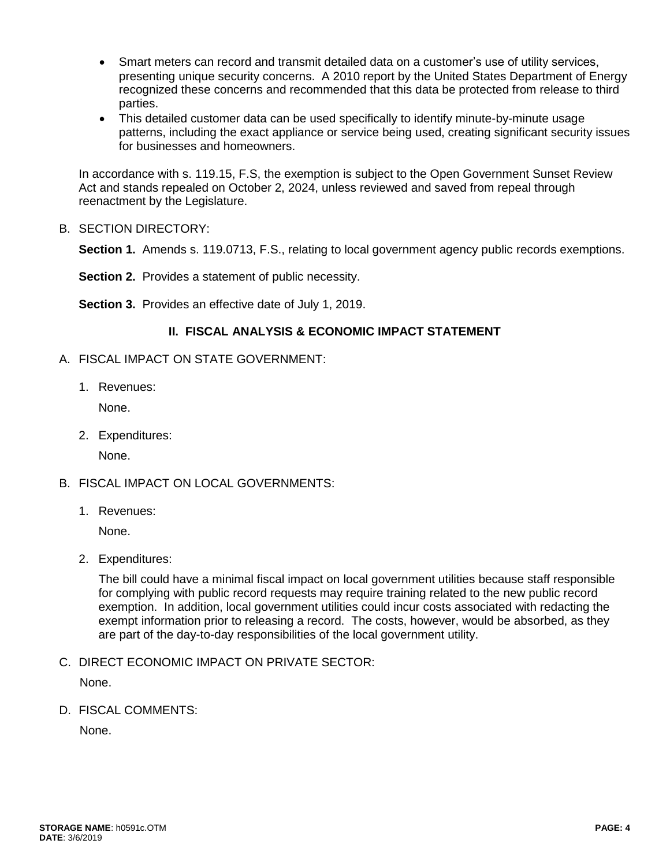- Smart meters can record and transmit detailed data on a customer's use of utility services, presenting unique security concerns. A 2010 report by the United States Department of Energy recognized these concerns and recommended that this data be protected from release to third parties.
- This detailed customer data can be used specifically to identify minute-by-minute usage patterns, including the exact appliance or service being used, creating significant security issues for businesses and homeowners.

In accordance with s. 119.15, F.S, the exemption is subject to the Open Government Sunset Review Act and stands repealed on October 2, 2024, unless reviewed and saved from repeal through reenactment by the Legislature.

B. SECTION DIRECTORY:

**Section 1.** Amends s. 119.0713, F.S., relating to local government agency public records exemptions.

**Section 2.** Provides a statement of public necessity.

**Section 3.** Provides an effective date of July 1, 2019.

# **II. FISCAL ANALYSIS & ECONOMIC IMPACT STATEMENT**

- A. FISCAL IMPACT ON STATE GOVERNMENT:
	- 1. Revenues:

None.

2. Expenditures:

None.

- B. FISCAL IMPACT ON LOCAL GOVERNMENTS:
	- 1. Revenues:

None.

2. Expenditures:

The bill could have a minimal fiscal impact on local government utilities because staff responsible for complying with public record requests may require training related to the new public record exemption. In addition, local government utilities could incur costs associated with redacting the exempt information prior to releasing a record. The costs, however, would be absorbed, as they are part of the day-to-day responsibilities of the local government utility.

C. DIRECT ECONOMIC IMPACT ON PRIVATE SECTOR:

None.

D. FISCAL COMMENTS:

None.